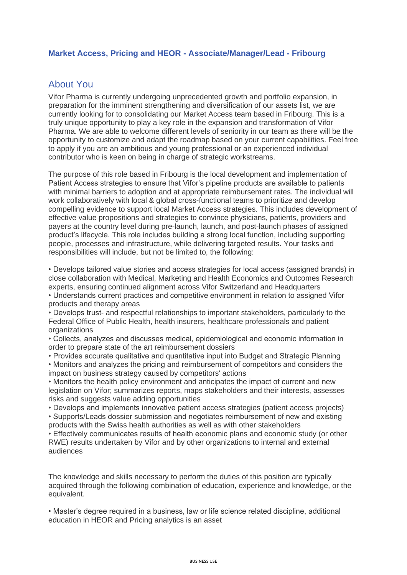## **Market Access, Pricing and HEOR - Associate/Manager/Lead - Fribourg**

## About You

Vifor Pharma is currently undergoing unprecedented growth and portfolio expansion, in preparation for the imminent strengthening and diversification of our assets list, we are currently looking for to consolidating our Market Access team based in Fribourg. This is a truly unique opportunity to play a key role in the expansion and transformation of Vifor Pharma. We are able to welcome different levels of seniority in our team as there will be the opportunity to customize and adapt the roadmap based on your current capabilities. Feel free to apply if you are an ambitious and young professional or an experienced individual contributor who is keen on being in charge of strategic workstreams.

The purpose of this role based in Fribourg is the local development and implementation of Patient Access strategies to ensure that Vifor's pipeline products are available to patients with minimal barriers to adoption and at appropriate reimbursement rates. The individual will work collaboratively with local & global cross-functional teams to prioritize and develop compelling evidence to support local Market Access strategies. This includes development of effective value propositions and strategies to convince physicians, patients, providers and payers at the country level during pre-launch, launch, and post-launch phases of assigned product's lifecycle. This role includes building a strong local function, including supporting people, processes and infrastructure, while delivering targeted results. Your tasks and responsibilities will include, but not be limited to, the following:

• Develops tailored value stories and access strategies for local access (assigned brands) in close collaboration with Medical, Marketing and Health Economics and Outcomes Research experts, ensuring continued alignment across Vifor Switzerland and Headquarters

• Understands current practices and competitive environment in relation to assigned Vifor products and therapy areas

• Develops trust- and respectful relationships to important stakeholders, particularly to the Federal Office of Public Health, health insurers, healthcare professionals and patient organizations

• Collects, analyzes and discusses medical, epidemiological and economic information in order to prepare state of the art reimbursement dossiers

• Provides accurate qualitative and quantitative input into Budget and Strategic Planning

• Monitors and analyzes the pricing and reimbursement of competitors and considers the impact on business strategy caused by competitors' actions

• Monitors the health policy environment and anticipates the impact of current and new legislation on Vifor; summarizes reports, maps stakeholders and their interests, assesses risks and suggests value adding opportunities

• Develops and implements innovative patient access strategies (patient access projects)

• Supports/Leads dossier submission and negotiates reimbursement of new and existing products with the Swiss health authorities as well as with other stakeholders

• Effectively communicates results of health economic plans and economic study (or other RWE) results undertaken by Vifor and by other organizations to internal and external audiences

The knowledge and skills necessary to perform the duties of this position are typically acquired through the following combination of education, experience and knowledge, or the equivalent.

• Master's degree required in a business, law or life science related discipline, additional education in HEOR and Pricing analytics is an asset